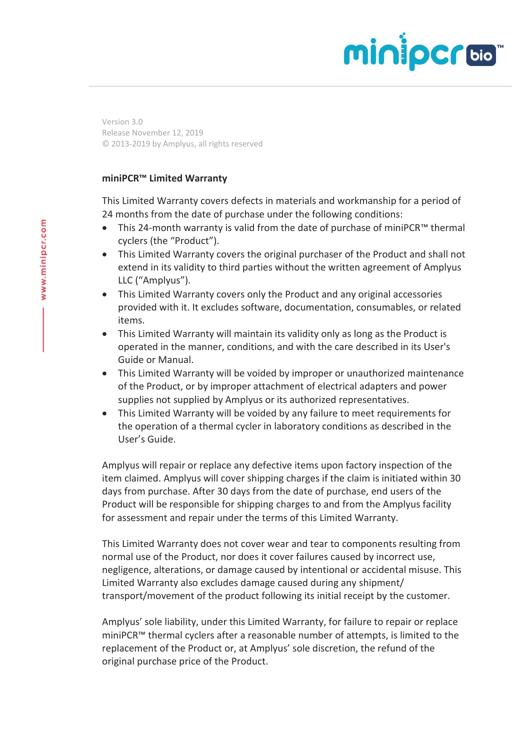## minipcroom

Version 3.0 Release November 12, 2019 © 2013-2019 by Amplyus, all rights reserved

## **miniPCR™ Limited Warranty**

This Limited Warranty covers defects in materials and workmanship for a period of 24 months from the date of purchase under the following conditions:

- This 24-month warranty is valid from the date of purchase of miniPCR™ thermal cyclers (the "Product").
- This Limited Warranty covers the original purchaser of the Product and shall not extend in its validity to third parties without the written agreement of Amplyus LLC ("Amplyus").
- This Limited Warranty covers only the Product and any original accessories provided with it. It excludes software, documentation, consumables, or related items.
- This Limited Warranty will maintain its validity only as long as the Product is operated in the manner, conditions, and with the care described in its User's Guide or Manual.
- This Limited Warranty will be voided by improper or unauthorized maintenance of the Product, or by improper attachment of electrical adapters and power supplies not supplied by Amplyus or its authorized representatives.
- This Limited Warranty will be voided by any failure to meet requirements for the operation of a thermal cycler in laboratory conditions as described in the User's Guide.

Amplyus will repair or replace any defective items upon factory inspection of the item claimed. Amplyus will cover shipping charges if the claim is initiated within 30 days from purchase. After 30 days from the date of purchase, end users of the Product will be responsible for shipping charges to and from the Amplyus facility for assessment and repair under the terms of this Limited Warranty.

This Limited Warranty does not cover wear and tear to components resulting from normal use of the Product, nor does it cover failures caused by incorrect use, negligence, alterations, or damage caused by intentional or accidental misuse. This Limited Warranty also excludes damage caused during any shipment/ transport/movement of the product following its initial receipt by the customer.

Amplyus' sole liability, under this Limited Warranty, for failure to repair or replace miniPCR™ thermal cyclers after a reasonable number of attempts, is limited to the replacement of the Product or, at Amplyus' sole discretion, the refund of the original purchase price of the Product.